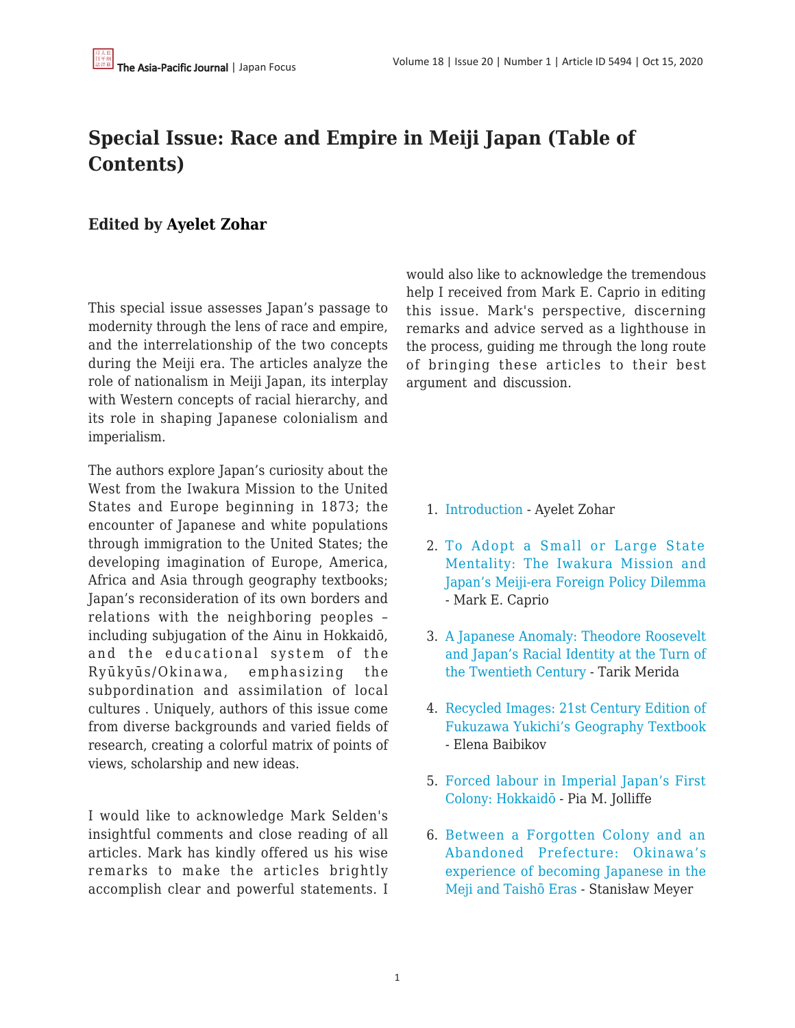## **Special Issue: Race and Empire in Meiji Japan (Table of Contents)**

## **Edited by [Ayelet Zohar](https://apjjf.org/authors/view/15095)**

This special issue assesses Japan's passage to modernity through the lens of race and empire, and the interrelationship of the two concepts during the Meiji era. The articles analyze the role of nationalism in Meiji Japan, its interplay with Western concepts of racial hierarchy, and its role in shaping Japanese colonialism and imperialism.

The authors explore Japan's curiosity about the West from the Iwakura Mission to the United States and Europe beginning in 1873; the encounter of Japanese and white populations through immigration to the United States; the developing imagination of Europe, America, Africa and Asia through geography textbooks; Japan's reconsideration of its own borders and relations with the neighboring peoples – including subjugation of the Ainu in Hokkaidō, and the educational system of the Ryūkyūs/Okinawa, emphasizing the subpordination and assimilation of local cultures . Uniquely, authors of this issue come from diverse backgrounds and varied fields of research, creating a colorful matrix of points of views, scholarship and new ideas.

I would like to acknowledge Mark Selden's insightful comments and close reading of all articles. Mark has kindly offered us his wise remarks to make the articles brightly accomplish clear and powerful statements. I would also like to acknowledge the tremendous help I received from Mark E. Caprio in editing this issue. Mark's perspective, discerning remarks and advice served as a lighthouse in the process, guiding me through the long route of bringing these articles to their best argument and discussion.

- 1. [Introduction](https://apjjf.org/2020/20/Zohar.html)  Ayelet Zohar
- 2. [To Adopt a Small or Large State](https://apjjf.org/2020/20/Caprio.html) [Mentality: The Iwakura Mission and](https://apjjf.org/2020/20/Caprio.html) [Japan's Meiji-era Foreign Policy Dilemma](https://apjjf.org/2020/20/Caprio.html) - Mark E. Caprio
- 3. [A Japanese Anomaly: Theodore Roosevelt](https://apjjf.org/2020/20/Merida.html) [and Japan's Racial Identity at the Turn of](https://apjjf.org/2020/20/Merida.html) [the Twentieth Century](https://apjjf.org/2020/20/Merida.html) - Tarik Merida
- 4. [Recycled Images: 21st Century Edition of](https://apjjf.org/2020/20/Baibikov.html) [Fukuzawa Yukichi's Geography Textbook](https://apjjf.org/2020/20/Baibikov.html) - Elena Baibikov
- 5. [Forced labour in Imperial Japan's First](https://apjjf.org/2020/20/Jolliffe.html) [Colony: Hokkaidō](https://apjjf.org/2020/20/Jolliffe.html) - Pia M. Jolliffe
- 6. [Between a Forgotten Colony and an](https://apjjf.org/2020/20/Meyer.html) [Abandoned Prefecture: Okinawa's](https://apjjf.org/2020/20/Meyer.html) [experience of becoming Japanese in the](https://apjjf.org/2020/20/Meyer.html) [Meji and Taishō Eras](https://apjjf.org/2020/20/Meyer.html) - Stanisław Meyer